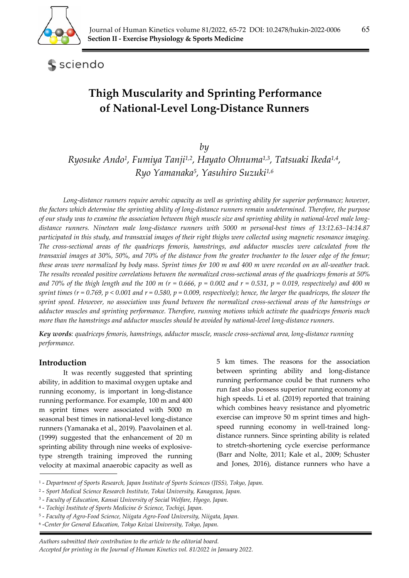

sciendo

# **Thigh Muscularity and Sprinting Performance of National‐Level Long‐Distance Runners**

*by* 

*Ryosuke Ando1, Fumiya Tanji1,2, Hayato Ohnuma1,3, Tatsuaki Ikeda1,4, Ryo Yamanaka5, Yasuhiro Suzuki1,6*

*Long-distance runners require aerobic capacity as well as sprinting ability for superior performance; however, the factors which determine the sprinting ability of long-distance runners remain undetermined. Therefore, the purpose of our study was to examine the association between thigh muscle size and sprinting ability in national-level male longdistance runners. Nineteen male long-distance runners with 5000 m personal-best times of 13:12.63–14:14.87 participated in this study, and transaxial images of their right thighs were collected using magnetic resonance imaging. The cross-sectional areas of the quadriceps femoris, hamstrings, and adductor muscles were calculated from the transaxial images at 30%, 50%, and 70% of the distance from the greater trochanter to the lower edge of the femur; these areas were normalized by body mass. Sprint times for 100 m and 400 m were recorded on an all-weather track. The results revealed positive correlations between the normalized cross-sectional areas of the quadriceps femoris at 50%*  and 70% of the thigh length and the 100 m ( $r = 0.666$ ,  $p = 0.002$  and  $r = 0.531$ ,  $p = 0.019$ , respectively) and 400 m *sprint times (r = 0.769, p < 0.001 and r = 0.580, p = 0.009, respectively); hence, the larger the quadriceps, the slower the sprint speed. However, no association was found between the normalized cross-sectional areas of the hamstrings or adductor muscles and sprinting performance. Therefore, running motions which activate the quadriceps femoris much more than the hamstrings and adductor muscles should be avoided by national-level long-distance runners.* 

*Key words: quadriceps femoris, hamstrings, adductor muscle, muscle cross-sectional area, long-distance running performance.* 

# **Introduction**

It was recently suggested that sprinting ability, in addition to maximal oxygen uptake and running economy, is important in long-distance running performance. For example, 100 m and 400 m sprint times were associated with 5000 m seasonal best times in national-level long-distance runners (Yamanaka et al., 2019). Paavolainen et al. (1999) suggested that the enhancement of 20 m sprinting ability through nine weeks of explosivetype strength training improved the running velocity at maximal anaerobic capacity as well as

5 km times. The reasons for the association between sprinting ability and long-distance running performance could be that runners who run fast also possess superior running economy at high speeds. Li et al. (2019) reported that training which combines heavy resistance and plyometric exercise can improve 50 m sprint times and highspeed running economy in well-trained longdistance runners. Since sprinting ability is related to stretch-shortening cycle exercise performance (Barr and Nolte, 2011; Kale et al., 2009; Schuster and Jones, 2016), distance runners who have a

<sup>1 -</sup> *Department of Sports Research, Japan Institute of Sports Sciences (JISS), Tokyo, Japan.* 

<sup>2 -</sup> *Sport Medical Science Research Institute, Tokai University, Kanagawa, Japan.* 

<sup>3 -</sup> *Faculty of Education, Kansai University of Social Welfare, Hyogo, Japan.* 

<sup>4 -</sup> *Tochigi Institute of Sports Medicine & Science, Tochigi, Japan.* 

<sup>5 -</sup> *Faculty of Agro-Food Science, Niigata Agro-Food University, Niigata, Japan.* 

<sup>6 -</sup>*Center for General Education, Tokyo Keizai University, Tokyo, Japan.*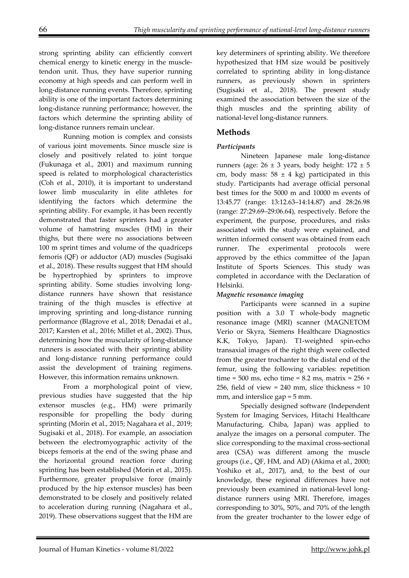strong sprinting ability can efficiently convert chemical energy to kinetic energy in the muscletendon unit. Thus, they have superior running economy at high speeds and can perform well in long-distance running events. Therefore, sprinting ability is one of the important factors determining long-distance running performance; however, the factors which determine the sprinting ability of long-distance runners remain unclear.

 Running motion is complex and consists of various joint movements. Since muscle size is closely and positively related to joint torque (Fukunaga et al., 2001) and maximum running speed is related to morphological characteristics (Coh et al., 2010), it is important to understand lower limb muscularity in elite athletes for identifying the factors which determine the sprinting ability. For example, it has been recently demonstrated that faster sprinters had a greater volume of hamstring muscles (HM) in their thighs, but there were no associations between 100 m sprint times and volume of the quadriceps femoris (QF) or adductor (AD) muscles (Sugisaki et al., 2018). These results suggest that HM should be hypertrophied by sprinters to improve sprinting ability. Some studies involving longdistance runners have shown that resistance training of the thigh muscles is effective at improving sprinting and long-distance running performance (Blagrove et al., 2018; Denadai et al., 2017; Karsten et al., 2016; Millet et al., 2002). Thus, determining how the muscularity of long-distance runners is associated with their sprinting ability and long-distance running performance could assist the development of training regimens. However, this information remains unknown.

 From a morphological point of view, previous studies have suggested that the hip extensor muscles (e.g., HM) were primarily responsible for propelling the body during sprinting (Morin et al., 2015; Nagahara et al., 2019; Sugisaki et al., 2018). For example, an association between the electromyographic activity of the biceps femoris at the end of the swing phase and the horizontal ground reaction force during sprinting has been established (Morin et al., 2015). Furthermore, greater propulsive force (mainly produced by the hip extensor muscles) has been demonstrated to be closely and positively related to acceleration during running (Nagahara et al., 2019). These observations suggest that the HM are

key determiners of sprinting ability. We therefore hypothesized that HM size would be positively correlated to sprinting ability in long-distance runners, as previously shown in sprinters (Sugisaki et al., 2018). The present study examined the association between the size of the thigh muscles and the sprinting ability of national-level long-distance runners.

# **Methods**

## *Participants*

 Nineteen Japanese male long-distance runners (age:  $26 \pm 3$  years, body height:  $172 \pm 5$ cm, body mass:  $58 \pm 4$  kg) participated in this study. Participants had average official personal best times for the 5000 m and 10000 m events of 13:45.77 (range: 13:12.63–14:14.87) and 28:26.98 (range: 27:29.69–29:06.64), respectively. Before the experiment, the purpose, procedures, and risks associated with the study were explained, and written informed consent was obtained from each runner. The experimental protocols were approved by the ethics committee of the Japan Institute of Sports Sciences. This study was completed in accordance with the Declaration of Helsinki.

## *Magnetic resonance imaging*

 Participants were scanned in a supine position with a 3.0 T whole-body magnetic resonance image (MRI) scanner (MAGNETOM Verio or Skyra, Siemens Healthcare Diagnostics K.K, Tokyo, Japan). T1-weighted spin-echo transaxial images of the right thigh were collected from the greater trochanter to the distal end of the femur, using the following variables: repetition time =  $500$  ms, echo time =  $8.2$  ms, matrix =  $256 \times$ 256, field of view =  $240$  mm, slice thickness =  $10$ mm, and interslice gap = 5 mm.

 Specially designed software (Independent System for Imaging Services, Hitachi Healthcare Manufacturing, Chiba, Japan) was applied to analyze the images on a personal computer. The slice corresponding to the maximal cross-sectional area (CSA) was different among the muscle groups (i.e., QF, HM, and AD) (Akima et al., 2000; Yoshiko et al., 2017), and, to the best of our knowledge, these regional differences have not previously been examined in national-level longdistance runners using MRI. Therefore, images corresponding to 30%, 50%, and 70% of the length from the greater trochanter to the lower edge of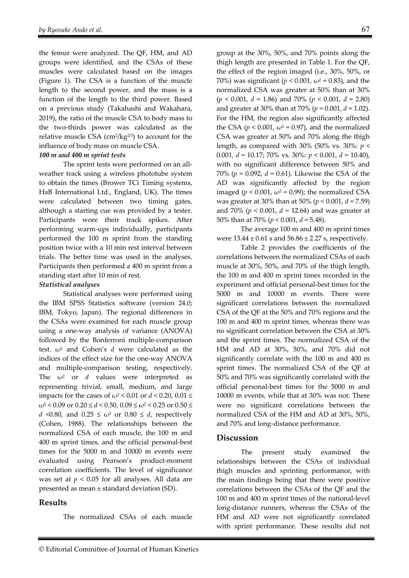the femur were analyzed. The QF, HM, and AD groups were identified, and the CSAs of these muscles were calculated based on the images (Figure 1). The CSA is a function of the muscle length to the second power, and the mass is a function of the length to the third power. Based on a previous study (Takahashi and Wakahara, 2019), the ratio of the muscle CSA to body mass to the two-thirds power was calculated as the relative muscle CSA (cm<sup>2</sup>/kg<sup>2/3</sup>) to account for the influence of body mass on muscle CSA.

#### *100 m and 400 m sprint tests*

 The sprint tests were performed on an allweather track using a wireless phototube system to obtain the times (Brower TCi Timing systems, HaB International Ltd., England, UK). The times were calculated between two timing gates, although a starting cue was provided by a tester. Participants wore their track spikes. After performing warm-ups individually, participants performed the 100 m sprint from the standing position twice with a 10 min rest interval between trials. The better time was used in the analyses. Participants then performed a 400 m sprint from a standing start after 10 min of rest.

#### *Statistical analyses*

 Statistical analyses were performed using the IBM SPSS Statistics software (version 24.0; IBM, Tokyo, Japan). The regional differences in the CSAs were examined for each muscle group using a one-way analysis of variance (ANOVA) followed by the Bonferroni multiple-comparison test.  $\omega^2$  and Cohen's *d* were calculated as the indices of the effect size for the one-way ANOVA and multiple-comparison testing, respectively. The  $\omega^2$  or *d* values were interpreted as representing trivial, small, medium, and large impacts for the cases of  $\omega^2$  < 0.01 or  $d$  < 0.20, 0.01  $\le$  $\omega^2$  < 0.09 or 0.20  $\le d$  < 0.50, 0.09  $\le \omega^2$  < 0.25 or 0.50  $\le$ *d* <0.80, and  $0.25 \le \omega^2$  or  $0.80 \le d$ , respectively (Cohen, 1988). The relationships between the normalized CSA of each muscle, the 100 m and 400 m sprint times, and the official personal-best times for the 5000 m and 10000 m events were evaluated using Pearson's product-moment correlation coefficients. The level of significance was set at *p* < 0.05 for all analyses. All data are presented as mean ± standard deviation (SD).

#### **Results**

The normalized CSAs of each muscle

group at the 30%, 50%, and 70% points along the thigh length are presented in Table 1. For the QF, the effect of the region imaged (i.e., 30%, 50%, or 70%) was significant ( $p < 0.001$ ,  $\omega^2 = 0.83$ ), and the normalized CSA was greater at 50% than at 30% (*p* < 0.001, *d* = 1.86) and 70% (*p* < 0.001, *d* = 2.80) and greater at 30% than at 70% (*p* = 0.001, *d* = 1.02). For the HM, the region also significantly affected the CSA ( $p < 0.001$ ,  $\omega^2 = 0.97$ ), and the normalized CSA was greater at 50% and 70% along the thigh length, as compared with 30% (50% vs. 30%: *p* < 0.001, *d* = 10.17; 70% vs. 30%: *p* < 0.001, *d* = 10.40), with no significant difference between 50% and 70% (*p* = 0.092, *d* = 0.61). Likewise the CSA of the AD was significantly affected by the region imaged ( $p < 0.001$ ,  $\omega^2 = 0.99$ ); the normalized CSA was greater at 30% than at 50% (*p* < 0.001, *d* = 7.59) and 70% (*p* < 0.001, *d* = 12.64) and was greater at 50% than at 70% (*p* < 0.001, *d* = 5.48).

 The average 100 m and 400 m sprint times were  $13.44 \pm 0.61$  s and  $56.86 \pm 2.27$  s, respectively.

 Table 2 provides the coefficients of the correlations between the normalized CSAs of each muscle at 30%, 50%, and 70% of the thigh length, the 100 m and 400 m sprint times recorded in the experiment and official personal-best times for the 5000 m and 10000 m events. There were significant correlations between the normalized CSA of the QF at the 50% and 70% regions and the 100 m and 400 m sprint times, whereas there was no significant correlation between the CSA at 30% and the sprint times. The normalized CSA of the HM and AD at 30%, 50%, and 70% did not significantly correlate with the 100 m and 400 m sprint times. The normalized CSA of the QF at 50% and 70% was significantly correlated with the official personal-best times for the 5000 m and 10000 m events, while that at 30% was not. There were no significant correlations between the normalized CSA of the HM and AD at 30%, 50%, and 70% and long-distance performance.

## **Discussion**

The present study examined the relationships between the CSAs of individual thigh muscles and sprinting performance, with the main findings being that there were positive correlations between the CSAs of the QF and the 100 m and 400 m sprint times of the national-level long-distance runners, whereas the CSAs of the HM and AD were not significantly correlated with sprint performance. These results did not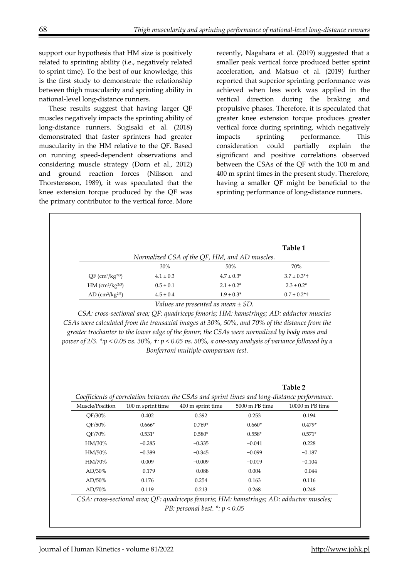support our hypothesis that HM size is positively related to sprinting ability (i.e., negatively related to sprint time). To the best of our knowledge, this is the first study to demonstrate the relationship between thigh muscularity and sprinting ability in national-level long-distance runners.

These results suggest that having larger QF muscles negatively impacts the sprinting ability of long-distance runners. Sugisaki et al. (2018) demonstrated that faster sprinters had greater muscularity in the HM relative to the QF. Based on running speed-dependent observations and considering muscle strategy (Dorn et al., 2012) and ground reaction forces (Nilsson and Thorstensson, 1989), it was speculated that the knee extension torque produced by the QF was the primary contributor to the vertical force. More

recently, Nagahara et al. (2019) suggested that a smaller peak vertical force produced better sprint acceleration, and Matsuo et al. (2019) further reported that superior sprinting performance was achieved when less work was applied in the vertical direction during the braking and propulsive phases. Therefore, it is speculated that greater knee extension torque produces greater vertical force during sprinting, which negatively impacts sprinting performance. This consideration could partially explain the significant and positive correlations observed between the CSAs of the QF with the 100 m and 400 m sprint times in the present study. Therefore, having a smaller QF might be beneficial to the sprinting performance of long-distance runners.

|                                            |               |                                               | Table 1          |
|--------------------------------------------|---------------|-----------------------------------------------|------------------|
|                                            |               | Normalized CSA of the QF, HM, and AD muscles. |                  |
|                                            | 30%           | 50%                                           | 70%              |
| $QF$ (cm <sup>2</sup> /kg <sup>2/3</sup> ) | $4.1 \pm 0.3$ | $4.7 \pm 0.3*$                                | $3.7 \pm 0.3$ *+ |
| HM (cm <sup>2</sup> /kg <sup>2/3</sup> )   | $0.5 \pm 0.1$ | $2.1 \pm 0.2^*$                               | $2.3 \pm 0.2^*$  |
| AD (cm <sup>2</sup> /kg <sup>2/3</sup> )   | $4.5 \pm 0.4$ | $1.9 \pm 0.3^*$                               | $0.7 \pm 0.2$ *+ |

*CSAs were calculated from the transaxial images at 30%, 50%, and 70% of the distance from the greater trochanter to the lower edge of the femur; the CSAs were normalized by body mass and power of 2/3. \*:p < 0.05 vs. 30%, †: p < 0.05 vs. 50%, a one-way analysis of variance followed by a Bonferroni multiple-comparison test.* 

| Coefficients of correlation between the CSAs and sprint times and long-distance performance. |                   |                   |                |                 |  |  |
|----------------------------------------------------------------------------------------------|-------------------|-------------------|----------------|-----------------|--|--|
| Muscle/Position                                                                              | 100 m sprint time | 400 m sprint time | 5000 m PB time | 10000 m PB time |  |  |
| OF/30%                                                                                       | 0.402             | 0.392             | 0.253          | 0.194           |  |  |
| OF/50%                                                                                       | $0.666*$          | $0.769*$          | $0.660*$       | $0.479*$        |  |  |
| OF/70%                                                                                       | $0.531*$          | $0.580*$          | $0.558*$       | $0.571*$        |  |  |
| HM/30%                                                                                       | $-0.285$          | $-0.335$          | $-0.041$       | 0.228           |  |  |
| HM/50%                                                                                       | $-0.389$          | $-0.345$          | $-0.099$       | $-0.187$        |  |  |
| HM/70%                                                                                       | 0.009             | $-0.009$          | $-0.019$       | $-0.104$        |  |  |
| $AD/30\%$                                                                                    | $-0.179$          | $-0.088$          | 0.004          | $-0.044$        |  |  |
| $AD/50\%$                                                                                    | 0.176             | 0.254             | 0.163          | 0.116           |  |  |
| AD/70%                                                                                       | 0.119             | 0.213             | 0.268          | 0.248           |  |  |

*CSA: cross-sectional area; QF: quadriceps femoris; HM: hamstrings; AD: adductor muscles; PB: personal best. \*: p < 0.05*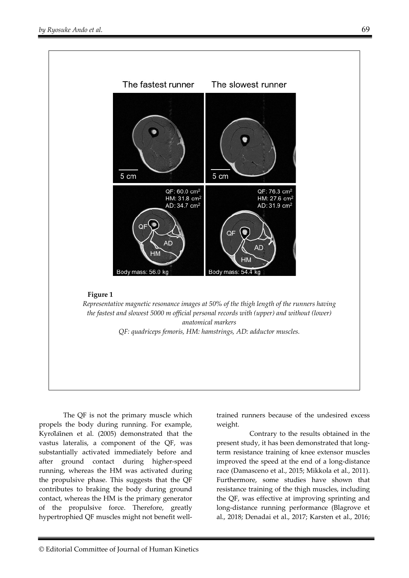

 The QF is not the primary muscle which propels the body during running. For example, Kyröläinen et al. (2005) demonstrated that the vastus lateralis, a component of the QF, was substantially activated immediately before and after ground contact during higher-speed running, whereas the HM was activated during the propulsive phase. This suggests that the QF contributes to braking the body during ground contact, whereas the HM is the primary generator of the propulsive force. Therefore, greatly hypertrophied QF muscles might not benefit welltrained runners because of the undesired excess weight.

Contrary to the results obtained in the present study, it has been demonstrated that longterm resistance training of knee extensor muscles improved the speed at the end of a long-distance race (Damasceno et al., 2015; Mikkola et al., 2011). Furthermore, some studies have shown that resistance training of the thigh muscles, including the QF, was effective at improving sprinting and long-distance running performance (Blagrove et al., 2018; Denadai et al., 2017; Karsten et al., 2016;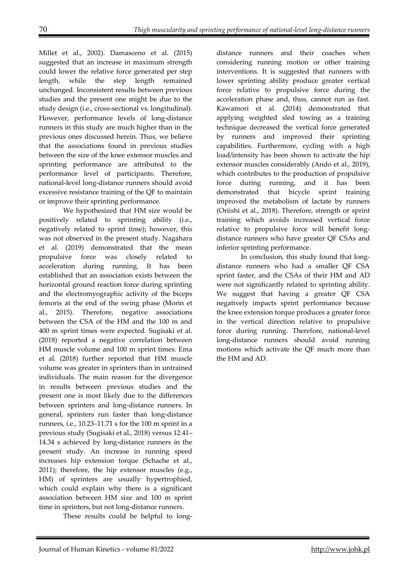Millet et al., 2002). Damasceno et al. (2015) suggested that an increase in maximum strength could lower the relative force generated per step length, while the step length remained unchanged. Inconsistent results between previous studies and the present one might be due to the study design (i.e., cross-sectional vs. longitudinal). However, performance levels of long-distance runners in this study are much higher than in the previous ones discussed herein. Thus, we believe that the associations found in previous studies between the size of the knee extensor muscles and sprinting performance are attributed to the performance level of participants. Therefore, national-level long-distance runners should avoid excessive resistance training of the QF to maintain or improve their sprinting performance.

 We hypothesized that HM size would be positively related to sprinting ability (i.e., negatively related to sprint time); however, this was not observed in the present study. Nagahara et al. (2019) demonstrated that the mean propulsive force was closely related to acceleration during running. It has been established that an association exists between the horizontal ground reaction force during sprinting and the electromyographic activity of the biceps femoris at the end of the swing phase (Morin et al., 2015). Therefore, negative associations between the CSA of the HM and the 100 m and 400 m sprint times were expected. Sugisaki et al. (2018) reported a negative correlation between HM muscle volume and 100 m sprint times. Ema et al. (2018) further reported that HM muscle volume was greater in sprinters than in untrained individuals. The main reason for the divergence in results between previous studies and the present one is most likely due to the differences between sprinters and long-distance runners. In general, sprinters run faster than long-distance runners, i.e., 10.23–11.71 s for the 100 m sprint in a previous study (Sugisaki et al., 2018) versus 12.41– 14.34 s achieved by long-distance runners in the present study. An increase in running speed increases hip extension torque (Schache et al., 2011); therefore, the hip extensor muscles (e.g., HM) of sprinters are usually hypertrophied, which could explain why there is a significant association between HM size and 100 m sprint time in sprinters, but not long-distance runners.

These results could be helpful to long-

distance runners and their coaches when considering running motion or other training interventions. It is suggested that runners with lower sprinting ability produce greater vertical force relative to propulsive force during the acceleration phase and, thus, cannot run as fast. Kawamori et al. (2014) demonstrated that applying weighted sled towing as a training technique decreased the vertical force generated by runners and improved their sprinting capabilities. Furthermore, cycling with a high load/intensity has been shown to activate the hip extensor muscles considerably (Ando et al., 2019), which contributes to the production of propulsive force during running, and it has been demonstrated that bicycle sprint training improved the metabolism of lactate by runners (Oriishi et al., 2018). Therefore, strength or sprint training which avoids increased vertical force relative to propulsive force will benefit longdistance runners who have greater QF CSAs and inferior sprinting performance.

In conclusion, this study found that longdistance runners who had a smaller QF CSA sprint faster, and the CSAs of their HM and AD were not significantly related to sprinting ability. We suggest that having a greater QF CSA negatively impacts sprint performance because the knee extension torque produces a greater force in the vertical direction relative to propulsive force during running. Therefore, national-level long-distance runners should avoid running motions which activate the QF much more than the HM and AD.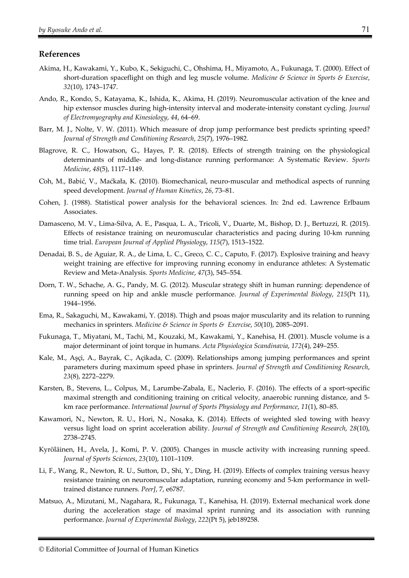#### **References**

- Akima, H., Kawakami, Y., Kubo, K., Sekiguchi, C., Ohshima, H., Miyamoto, A., Fukunaga, T. (2000). Effect of short-duration spaceflight on thigh and leg muscle volume. *Medicine & Science in Sports & Exercise*, *32*(10), 1743–1747.
- Ando, R., Kondo, S., Katayama, K., Ishida, K., Akima, H. (2019). Neuromuscular activation of the knee and hip extensor muscles during high-intensity interval and moderate-intensity constant cycling. *Journal of Electromyography and Kinesiology*, *44*, 64–69.
- Barr, M. J., Nolte, V. W. (2011). Which measure of drop jump performance best predicts sprinting speed? *Journal of Strength and Conditioning Research*, *25*(7), 1976–1982.
- Blagrove, R. C., Howatson, G., Hayes, P. R. (2018). Effects of strength training on the physiological determinants of middle- and long-distance running performance: A Systematic Review. *Sports Medicine*, *48*(5), 1117–1149.
- Čoh, M., Babić, V., Maćkała, K. (2010). Biomechanical, neuro-muscular and methodical aspects of running speed development. *Journal of Human Kinetics*, *26*, 73–81.
- Cohen, J. (1988). Statistical power analysis for the behavioral sciences. In: 2nd ed. Lawrence Erlbaum Associates.
- Damasceno, M. V., Lima-Silva, A. E., Pasqua, L. A., Tricoli, V., Duarte, M., Bishop, D. J., Bertuzzi, R. (2015). Effects of resistance training on neuromuscular characteristics and pacing during 10-km running time trial. *European Journal of Applied Physiology*, *115*(7), 1513–1522.
- Denadai, B. S., de Aguiar, R. A., de Lima, L. C., Greco, C. C., Caputo, F. (2017). Explosive training and heavy weight training are effective for improving running economy in endurance athletes: A Systematic Review and Meta-Analysis. *Sports Medicine*, *47*(3), 545–554.
- Dorn, T. W., Schache, A. G., Pandy, M. G. (2012). Muscular strategy shift in human running: dependence of running speed on hip and ankle muscle performance. *Journal of Experimental Biology*, *215*(Pt 11), 1944–1956.
- Ema, R., Sakaguchi, M., Kawakami, Y. (2018). Thigh and psoas major muscularity and its relation to running mechanics in sprinters. *Medicine & Science in Sports & Exercise*, *50*(10), 2085–2091.
- Fukunaga, T., Miyatani, M., Tachi, M., Kouzaki, M., Kawakami, Y., Kanehisa, H. (2001). Muscle volume is a major determinant of joint torque in humans. *Acta Physiologica Scandinavia*, *172*(4), 249–255.
- Kale, M., Aşçi, A., Bayrak, C., Açikada, C. (2009). Relationships among jumping performances and sprint parameters during maximum speed phase in sprinters. *Journal of Strength and Conditioning Research*, *23*(8), 2272–2279.
- Karsten, B., Stevens, L., Colpus, M., Larumbe-Zabala, E., Naclerio, F. (2016). The effects of a sport-specific maximal strength and conditioning training on critical velocity, anaerobic running distance, and 5 km race performance. *International Journal of Sports Physiology and Performance*, *11*(1), 80–85.
- Kawamori, N., Newton, R. U., Hori, N., Nosaka, K. (2014). Effects of weighted sled towing with heavy versus light load on sprint acceleration ability. *Journal of Strength and Conditioning Research*, *28*(10), 2738–2745.
- Kyröläinen, H., Avela, J., Komi, P. V. (2005). Changes in muscle activity with increasing running speed. *Journal of Sports Sciences*, *23*(10), 1101–1109.
- Li, F., Wang, R., Newton, R. U., Sutton, D., Shi, Y., Ding, H. (2019). Effects of complex training versus heavy resistance training on neuromuscular adaptation, running economy and 5-km performance in welltrained distance runners. *PeerJ*, 7, e6787.
- Matsuo, A., Mizutani, M., Nagahara, R., Fukunaga, T., Kanehisa, H. (2019). External mechanical work done during the acceleration stage of maximal sprint running and its association with running performance. *Journal of Experimental Biology*, *222*(Pt 5), jeb189258.